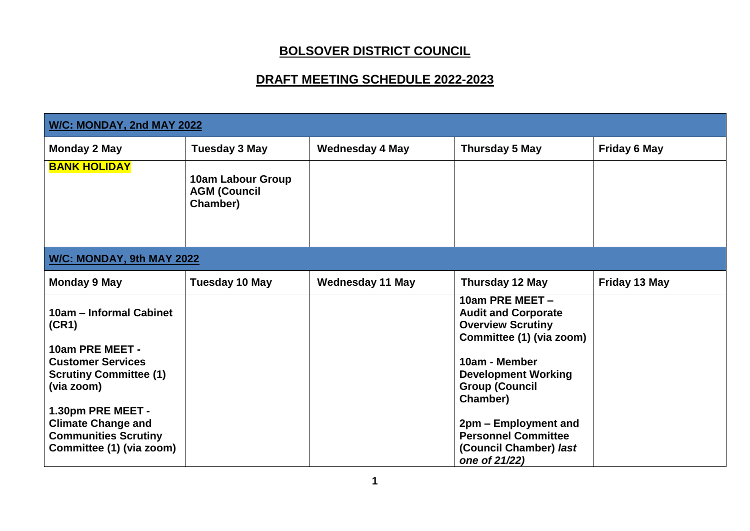## **BOLSOVER DISTRICT COUNCIL**

## **DRAFT MEETING SCHEDULE 2022-2023**

| W/C: MONDAY, 2nd MAY 2022                                                                                 |                                                      |                         |                                                                                                       |                     |  |
|-----------------------------------------------------------------------------------------------------------|------------------------------------------------------|-------------------------|-------------------------------------------------------------------------------------------------------|---------------------|--|
| <b>Monday 2 May</b>                                                                                       | <b>Tuesday 3 May</b>                                 | <b>Wednesday 4 May</b>  | Thursday 5 May                                                                                        | <b>Friday 6 May</b> |  |
| <b>BANK HOLIDAY</b>                                                                                       | 10am Labour Group<br><b>AGM (Council</b><br>Chamber) |                         |                                                                                                       |                     |  |
| W/C: MONDAY, 9th MAY 2022                                                                                 |                                                      |                         |                                                                                                       |                     |  |
| <b>Monday 9 May</b>                                                                                       | <b>Tuesday 10 May</b>                                | <b>Wednesday 11 May</b> | Thursday 12 May                                                                                       | Friday 13 May       |  |
| 10am - Informal Cabinet<br>(CR1)                                                                          |                                                      |                         | 10am PRE MEET -<br><b>Audit and Corporate</b><br><b>Overview Scrutiny</b><br>Committee (1) (via zoom) |                     |  |
| 10am PRE MEET -<br><b>Customer Services</b><br><b>Scrutiny Committee (1)</b><br>(via zoom)                |                                                      |                         | 10am - Member<br><b>Development Working</b><br><b>Group (Council</b><br>Chamber)                      |                     |  |
| 1.30pm PRE MEET -<br><b>Climate Change and</b><br><b>Communities Scrutiny</b><br>Committee (1) (via zoom) |                                                      |                         | 2pm - Employment and<br><b>Personnel Committee</b><br>(Council Chamber) last<br>one of 21/22)         |                     |  |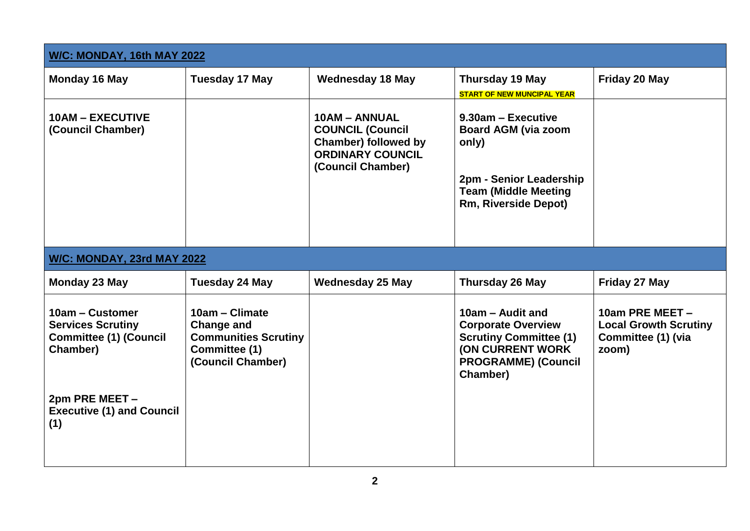| W/C: MONDAY, 16th MAY 2022                                                               |                                                                                                          |                                                                                                                         |                                                                                                                                                       |                                                                                |
|------------------------------------------------------------------------------------------|----------------------------------------------------------------------------------------------------------|-------------------------------------------------------------------------------------------------------------------------|-------------------------------------------------------------------------------------------------------------------------------------------------------|--------------------------------------------------------------------------------|
| Monday 16 May                                                                            | <b>Tuesday 17 May</b>                                                                                    | <b>Wednesday 18 May</b>                                                                                                 | Thursday 19 May<br><b>START OF NEW MUNCIPAL YEAR</b>                                                                                                  | Friday 20 May                                                                  |
| <b>10AM - EXECUTIVE</b><br>(Council Chamber)                                             |                                                                                                          | 10AM - ANNUAL<br><b>COUNCIL (Council</b><br><b>Chamber) followed by</b><br><b>ORDINARY COUNCIL</b><br>(Council Chamber) | $9.30$ am – Executive<br><b>Board AGM (via zoom</b><br>only)<br>2pm - Senior Leadership<br><b>Team (Middle Meeting</b><br><b>Rm, Riverside Depot)</b> |                                                                                |
| W/C: MONDAY, 23rd MAY 2022                                                               |                                                                                                          |                                                                                                                         |                                                                                                                                                       |                                                                                |
| Monday 23 May                                                                            | <b>Tuesday 24 May</b>                                                                                    | <b>Wednesday 25 May</b>                                                                                                 | <b>Thursday 26 May</b>                                                                                                                                | Friday 27 May                                                                  |
| 10am - Customer<br><b>Services Scrutiny</b><br><b>Committee (1) (Council</b><br>Chamber) | 10am - Climate<br><b>Change and</b><br><b>Communities Scrutiny</b><br>Committee (1)<br>(Council Chamber) |                                                                                                                         | 10am - Audit and<br><b>Corporate Overview</b><br><b>Scrutiny Committee (1)</b><br>(ON CURRENT WORK)<br><b>PROGRAMME) (Council</b><br>Chamber)         | 10am PRE MEET -<br><b>Local Growth Scrutiny</b><br>Committee (1) (via<br>zoom) |
| 2pm PRE MEET -<br><b>Executive (1) and Council</b><br>(1)                                |                                                                                                          |                                                                                                                         |                                                                                                                                                       |                                                                                |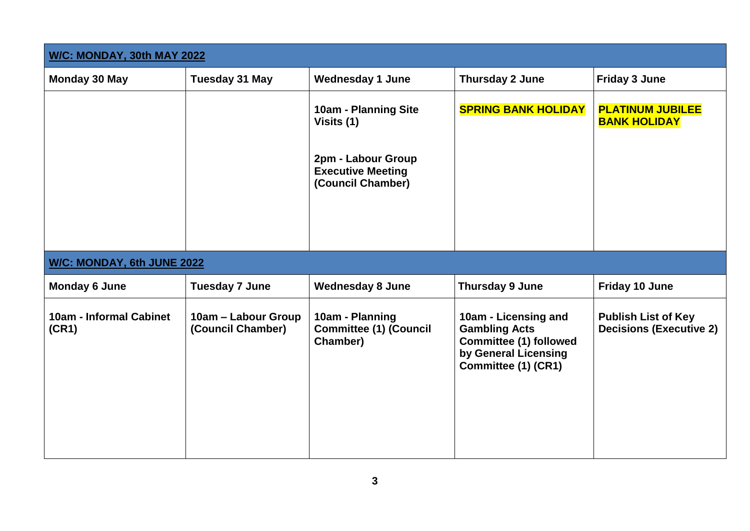| W/C: MONDAY, 30th MAY 2022       |                                          |                                                                                                           |                                                                                                                              |                                                              |
|----------------------------------|------------------------------------------|-----------------------------------------------------------------------------------------------------------|------------------------------------------------------------------------------------------------------------------------------|--------------------------------------------------------------|
| <b>Monday 30 May</b>             | <b>Tuesday 31 May</b>                    | <b>Wednesday 1 June</b>                                                                                   | Thursday 2 June                                                                                                              | <b>Friday 3 June</b>                                         |
|                                  |                                          | 10am - Planning Site<br>Visits (1)<br>2pm - Labour Group<br><b>Executive Meeting</b><br>(Council Chamber) | <b>SPRING BANK HOLIDAY</b>                                                                                                   | <b>PLATINUM JUBILEE</b><br><b>BANK HOLIDAY</b>               |
| W/C: MONDAY, 6th JUNE 2022       |                                          |                                                                                                           |                                                                                                                              |                                                              |
| <b>Monday 6 June</b>             | <b>Tuesday 7 June</b>                    | <b>Wednesday 8 June</b>                                                                                   | Thursday 9 June                                                                                                              | Friday 10 June                                               |
| 10am - Informal Cabinet<br>(CR1) | 10am – Labour Group<br>(Council Chamber) | 10am - Planning<br><b>Committee (1) (Council</b><br>Chamber)                                              | 10am - Licensing and<br><b>Gambling Acts</b><br><b>Committee (1) followed</b><br>by General Licensing<br>Committee (1) (CR1) | <b>Publish List of Key</b><br><b>Decisions (Executive 2)</b> |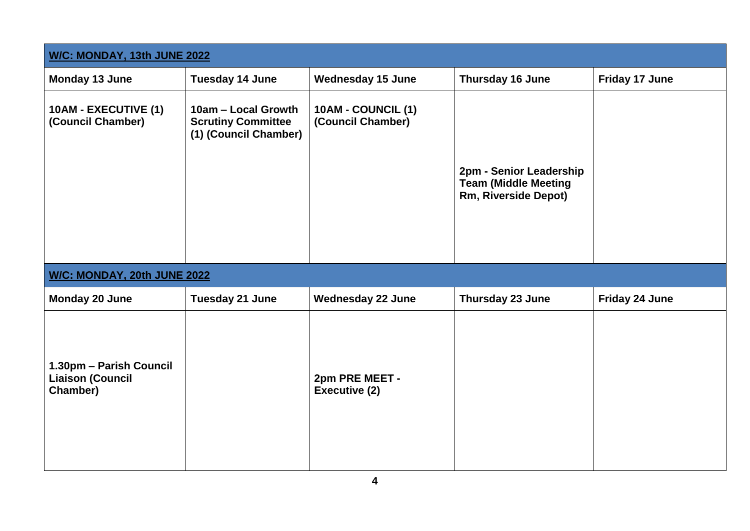| W/C: MONDAY, 13th JUNE 2022                                    |                                                                           |                                         |                                                                                |                |  |
|----------------------------------------------------------------|---------------------------------------------------------------------------|-----------------------------------------|--------------------------------------------------------------------------------|----------------|--|
| Monday 13 June                                                 | <b>Tuesday 14 June</b>                                                    | <b>Wednesday 15 June</b>                | Thursday 16 June                                                               | Friday 17 June |  |
| 10AM - EXECUTIVE (1)<br>(Council Chamber)                      | 10am - Local Growth<br><b>Scrutiny Committee</b><br>(1) (Council Chamber) | 10AM - COUNCIL (1)<br>(Council Chamber) | 2pm - Senior Leadership<br><b>Team (Middle Meeting</b><br>Rm, Riverside Depot) |                |  |
| W/C: MONDAY, 20th JUNE 2022                                    |                                                                           |                                         |                                                                                |                |  |
| Monday 20 June                                                 | Tuesday 21 June                                                           | <b>Wednesday 22 June</b>                | Thursday 23 June                                                               | Friday 24 June |  |
| 1.30pm - Parish Council<br><b>Liaison (Council</b><br>Chamber) |                                                                           | 2pm PRE MEET -<br>Executive (2)         |                                                                                |                |  |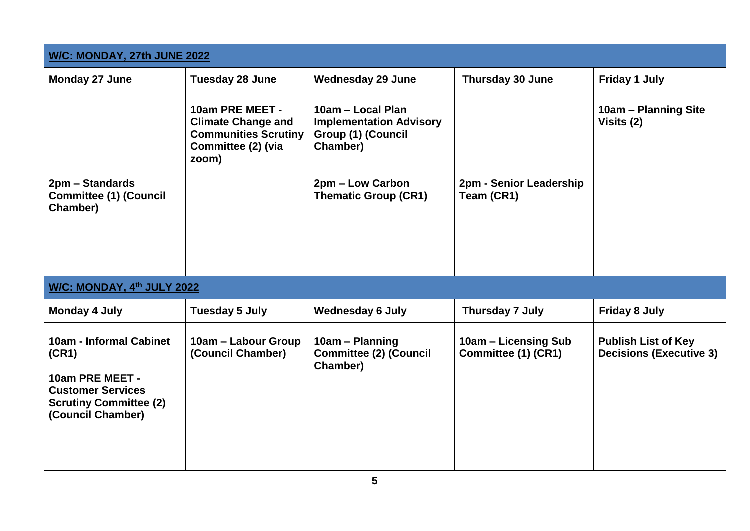| W/C: MONDAY, 27th JUNE 2022                                                                                                           |                                                                                                            |                                                                                       |                                             |                                                              |
|---------------------------------------------------------------------------------------------------------------------------------------|------------------------------------------------------------------------------------------------------------|---------------------------------------------------------------------------------------|---------------------------------------------|--------------------------------------------------------------|
| Monday 27 June                                                                                                                        | <b>Tuesday 28 June</b>                                                                                     | <b>Wednesday 29 June</b>                                                              | <b>Thursday 30 June</b>                     | <b>Friday 1 July</b>                                         |
|                                                                                                                                       | 10am PRE MEET -<br><b>Climate Change and</b><br><b>Communities Scrutiny</b><br>Committee (2) (via<br>zoom) | 10am - Local Plan<br><b>Implementation Advisory</b><br>Group (1) (Council<br>Chamber) |                                             | 10am - Planning Site<br>Visits (2)                           |
| 2pm – Standards<br><b>Committee (1) (Council</b><br>Chamber)                                                                          |                                                                                                            | 2pm – Low Carbon<br><b>Thematic Group (CR1)</b>                                       | 2pm - Senior Leadership<br>Team (CR1)       |                                                              |
| W/C: MONDAY, 4th JULY 2022                                                                                                            |                                                                                                            |                                                                                       |                                             |                                                              |
| <b>Monday 4 July</b>                                                                                                                  | <b>Tuesday 5 July</b>                                                                                      | <b>Wednesday 6 July</b>                                                               | <b>Thursday 7 July</b>                      | <b>Friday 8 July</b>                                         |
| 10am - Informal Cabinet<br>(CR1)<br>10am PRE MEET -<br><b>Customer Services</b><br><b>Scrutiny Committee (2)</b><br>(Council Chamber) | 10am - Labour Group<br>(Council Chamber)                                                                   | 10am - Planning<br><b>Committee (2) (Council</b><br>Chamber)                          | 10am - Licensing Sub<br>Committee (1) (CR1) | <b>Publish List of Key</b><br><b>Decisions (Executive 3)</b> |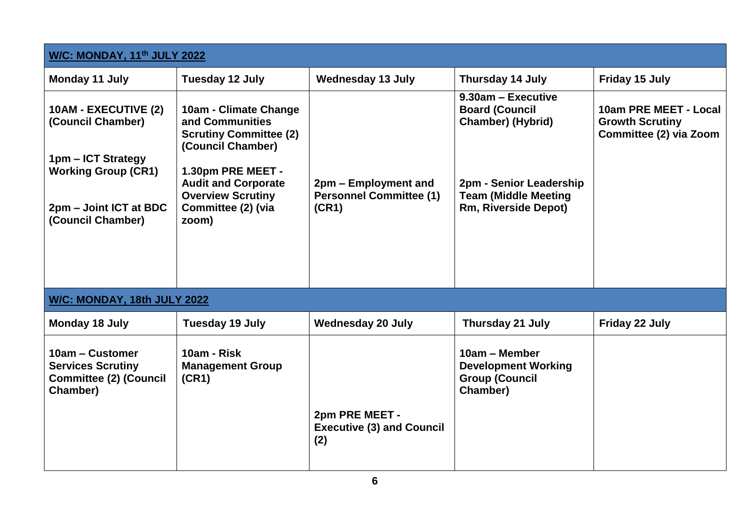| W/C: MONDAY, 11th JULY 2022                                                                                                                  |                                                                                                                                                                                                              |                                                                 |                                                                                                                                                                  |                                                                           |
|----------------------------------------------------------------------------------------------------------------------------------------------|--------------------------------------------------------------------------------------------------------------------------------------------------------------------------------------------------------------|-----------------------------------------------------------------|------------------------------------------------------------------------------------------------------------------------------------------------------------------|---------------------------------------------------------------------------|
| <b>Monday 11 July</b>                                                                                                                        | <b>Tuesday 12 July</b>                                                                                                                                                                                       | <b>Wednesday 13 July</b>                                        | <b>Thursday 14 July</b>                                                                                                                                          | Friday 15 July                                                            |
| 10AM - EXECUTIVE (2)<br>(Council Chamber)<br>1pm - ICT Strategy<br><b>Working Group (CR1)</b><br>2pm – Joint ICT at BDC<br>(Council Chamber) | 10am - Climate Change<br>and Communities<br><b>Scrutiny Committee (2)</b><br>(Council Chamber)<br>1.30pm PRE MEET -<br><b>Audit and Corporate</b><br><b>Overview Scrutiny</b><br>Committee (2) (via<br>zoom) | 2pm – Employment and<br><b>Personnel Committee (1)</b><br>(CR1) | 9.30am - Executive<br><b>Board (Council</b><br><b>Chamber) (Hybrid)</b><br>2pm - Senior Leadership<br><b>Team (Middle Meeting</b><br><b>Rm, Riverside Depot)</b> | 10am PRE MEET - Local<br><b>Growth Scrutiny</b><br>Committee (2) via Zoom |
| W/C: MONDAY, 18th JULY 2022                                                                                                                  |                                                                                                                                                                                                              |                                                                 |                                                                                                                                                                  |                                                                           |
| <b>Monday 18 July</b>                                                                                                                        | <b>Tuesday 19 July</b>                                                                                                                                                                                       | <b>Wednesday 20 July</b>                                        | <b>Thursday 21 July</b>                                                                                                                                          | Friday 22 July                                                            |
| 10am - Customer<br><b>Services Scrutiny</b><br><b>Committee (2) (Council</b><br>Chamber)                                                     | 10am - Risk<br><b>Management Group</b><br>(CR1)                                                                                                                                                              | 2pm PRE MEET -<br><b>Executive (3) and Council</b><br>(2)       | 10am - Member<br><b>Development Working</b><br><b>Group (Council</b><br>Chamber)                                                                                 |                                                                           |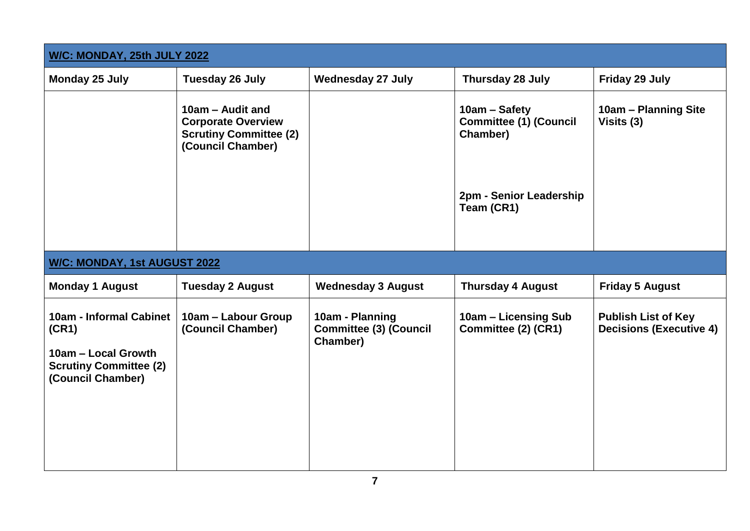| W/C: MONDAY, 25th JULY 2022                                                                                   |                                                                                                     |                                                              |                                                            |                                                              |  |
|---------------------------------------------------------------------------------------------------------------|-----------------------------------------------------------------------------------------------------|--------------------------------------------------------------|------------------------------------------------------------|--------------------------------------------------------------|--|
| Monday 25 July                                                                                                | <b>Tuesday 26 July</b>                                                                              | <b>Wednesday 27 July</b>                                     | Thursday 28 July                                           | Friday 29 July                                               |  |
|                                                                                                               | 10am - Audit and<br><b>Corporate Overview</b><br><b>Scrutiny Committee (2)</b><br>(Council Chamber) |                                                              | 10am - Safety<br><b>Committee (1) (Council</b><br>Chamber) | 10am - Planning Site<br>Visits (3)                           |  |
|                                                                                                               |                                                                                                     |                                                              | 2pm - Senior Leadership<br>Team (CR1)                      |                                                              |  |
| W/C: MONDAY, 1st AUGUST 2022                                                                                  |                                                                                                     |                                                              |                                                            |                                                              |  |
| <b>Monday 1 August</b>                                                                                        | <b>Tuesday 2 August</b>                                                                             | <b>Wednesday 3 August</b>                                    | <b>Thursday 4 August</b>                                   | <b>Friday 5 August</b>                                       |  |
| 10am - Informal Cabinet<br>(CR1)<br>10am - Local Growth<br><b>Scrutiny Committee (2)</b><br>(Council Chamber) | 10am - Labour Group<br>(Council Chamber)                                                            | 10am - Planning<br><b>Committee (3) (Council</b><br>Chamber) | 10am - Licensing Sub<br>Committee (2) (CR1)                | <b>Publish List of Key</b><br><b>Decisions (Executive 4)</b> |  |
|                                                                                                               |                                                                                                     |                                                              |                                                            |                                                              |  |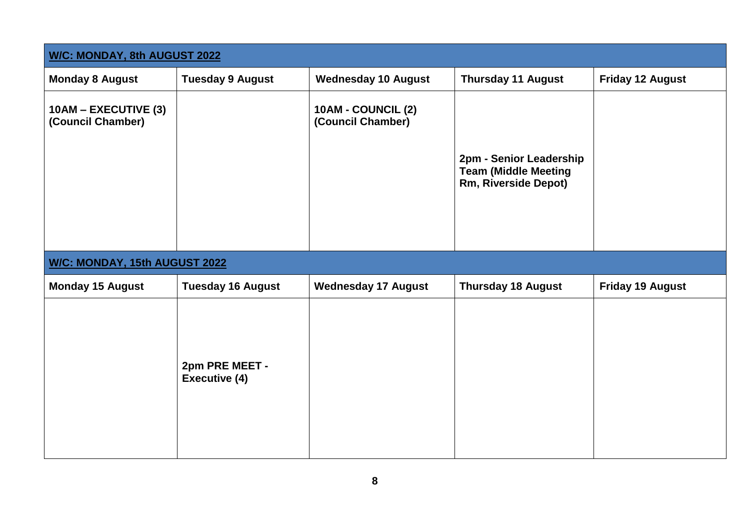| W/C: MONDAY, 8th AUGUST 2022              |                                        |                                                |                                                                                |                         |
|-------------------------------------------|----------------------------------------|------------------------------------------------|--------------------------------------------------------------------------------|-------------------------|
| <b>Monday 8 August</b>                    | <b>Tuesday 9 August</b>                | <b>Wednesday 10 August</b>                     | <b>Thursday 11 August</b>                                                      | <b>Friday 12 August</b> |
| 10AM - EXECUTIVE (3)<br>(Council Chamber) |                                        | <b>10AM - COUNCIL (2)</b><br>(Council Chamber) | 2pm - Senior Leadership<br><b>Team (Middle Meeting</b><br>Rm, Riverside Depot) |                         |
| W/C: MONDAY, 15th AUGUST 2022             |                                        |                                                |                                                                                |                         |
| <b>Monday 15 August</b>                   | <b>Tuesday 16 August</b>               | <b>Wednesday 17 August</b>                     | <b>Thursday 18 August</b>                                                      | <b>Friday 19 August</b> |
|                                           | 2pm PRE MEET -<br><b>Executive (4)</b> |                                                |                                                                                |                         |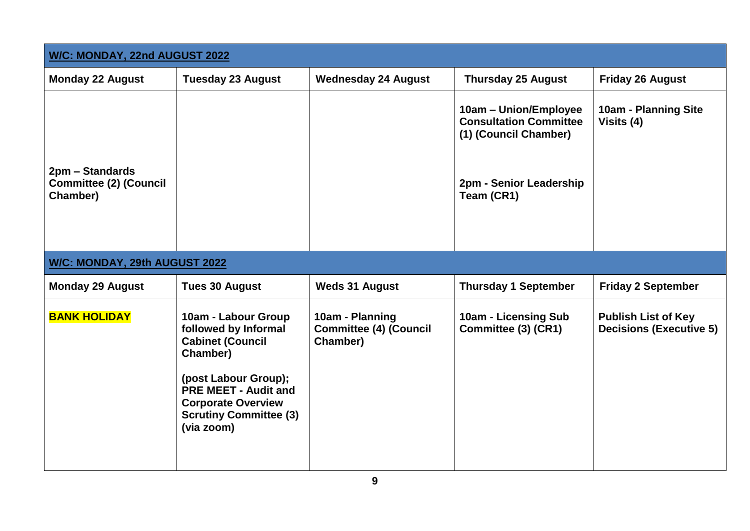| W/C: MONDAY, 22nd AUGUST 2022                                |                                                                                                                                                                                                                       |                                                              |                                                                                                                          |                                                              |
|--------------------------------------------------------------|-----------------------------------------------------------------------------------------------------------------------------------------------------------------------------------------------------------------------|--------------------------------------------------------------|--------------------------------------------------------------------------------------------------------------------------|--------------------------------------------------------------|
| <b>Monday 22 August</b>                                      | <b>Tuesday 23 August</b>                                                                                                                                                                                              | <b>Wednesday 24 August</b>                                   | <b>Thursday 25 August</b>                                                                                                | <b>Friday 26 August</b>                                      |
| 2pm - Standards<br><b>Committee (2) (Council</b><br>Chamber) |                                                                                                                                                                                                                       |                                                              | 10am - Union/Employee<br><b>Consultation Committee</b><br>(1) (Council Chamber)<br>2pm - Senior Leadership<br>Team (CR1) | <b>10am - Planning Site</b><br>Visits (4)                    |
| W/C: MONDAY, 29th AUGUST 2022                                |                                                                                                                                                                                                                       |                                                              |                                                                                                                          |                                                              |
| <b>Monday 29 August</b>                                      | <b>Tues 30 August</b>                                                                                                                                                                                                 | <b>Weds 31 August</b>                                        | <b>Thursday 1 September</b>                                                                                              | <b>Friday 2 September</b>                                    |
| <b>BANK HOLIDAY</b>                                          | 10am - Labour Group<br>followed by Informal<br><b>Cabinet (Council</b><br>Chamber)<br>(post Labour Group);<br><b>PRE MEET - Audit and</b><br><b>Corporate Overview</b><br><b>Scrutiny Committee (3)</b><br>(via zoom) | 10am - Planning<br><b>Committee (4) (Council</b><br>Chamber) | 10am - Licensing Sub<br>Committee (3) (CR1)                                                                              | <b>Publish List of Key</b><br><b>Decisions (Executive 5)</b> |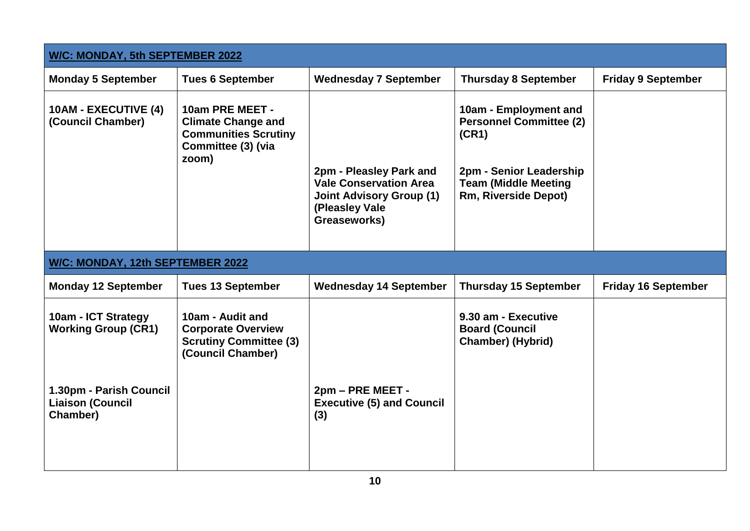| <b>W/C: MONDAY, 5th SEPTEMBER 2022</b>                         |                                                                                                            |                                                                                                                               |                                                                                                                                                           |                            |
|----------------------------------------------------------------|------------------------------------------------------------------------------------------------------------|-------------------------------------------------------------------------------------------------------------------------------|-----------------------------------------------------------------------------------------------------------------------------------------------------------|----------------------------|
| <b>Monday 5 September</b>                                      | <b>Tues 6 September</b>                                                                                    | <b>Wednesday 7 September</b>                                                                                                  | <b>Thursday 8 September</b>                                                                                                                               | <b>Friday 9 September</b>  |
| <b>10AM - EXECUTIVE (4)</b><br>(Council Chamber)               | 10am PRE MEET -<br><b>Climate Change and</b><br><b>Communities Scrutiny</b><br>Committee (3) (via<br>zoom) | 2pm - Pleasley Park and<br><b>Vale Conservation Area</b><br><b>Joint Advisory Group (1)</b><br>(Pleasley Vale<br>Greaseworks) | 10am - Employment and<br><b>Personnel Committee (2)</b><br>(CR1)<br>2pm - Senior Leadership<br><b>Team (Middle Meeting</b><br><b>Rm, Riverside Depot)</b> |                            |
| W/C: MONDAY, 12th SEPTEMBER 2022                               |                                                                                                            |                                                                                                                               |                                                                                                                                                           |                            |
| <b>Monday 12 September</b>                                     | <b>Tues 13 September</b>                                                                                   | <b>Wednesday 14 September</b>                                                                                                 | <b>Thursday 15 September</b>                                                                                                                              | <b>Friday 16 September</b> |
| 10am - ICT Strategy<br><b>Working Group (CR1)</b>              | 10am - Audit and<br><b>Corporate Overview</b><br><b>Scrutiny Committee (3)</b><br>(Council Chamber)        |                                                                                                                               | 9.30 am - Executive<br><b>Board (Council</b><br><b>Chamber) (Hybrid)</b>                                                                                  |                            |
| 1.30pm - Parish Council<br><b>Liaison (Council</b><br>Chamber) |                                                                                                            | 2pm - PRE MEET -<br><b>Executive (5) and Council</b><br>(3)                                                                   |                                                                                                                                                           |                            |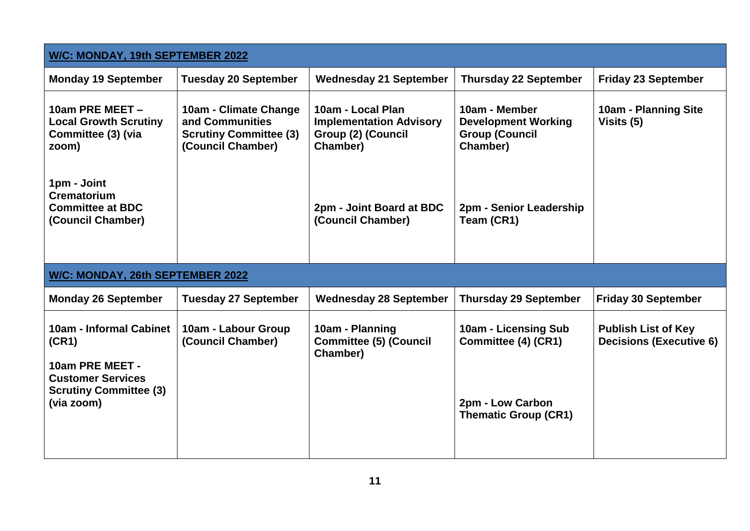| W/C: MONDAY, 19th SEPTEMBER 2022                                                                                               |                                                                                                |                                                                                       |                                                                                                |                                                              |  |
|--------------------------------------------------------------------------------------------------------------------------------|------------------------------------------------------------------------------------------------|---------------------------------------------------------------------------------------|------------------------------------------------------------------------------------------------|--------------------------------------------------------------|--|
| <b>Monday 19 September</b>                                                                                                     | <b>Tuesday 20 September</b>                                                                    | <b>Wednesday 21 September</b>                                                         | <b>Thursday 22 September</b>                                                                   | <b>Friday 23 September</b>                                   |  |
| 10am PRE MEET -<br><b>Local Growth Scrutiny</b><br>Committee (3) (via<br>zoom)                                                 | 10am - Climate Change<br>and Communities<br><b>Scrutiny Committee (3)</b><br>(Council Chamber) | 10am - Local Plan<br><b>Implementation Advisory</b><br>Group (2) (Council<br>Chamber) | 10am - Member<br><b>Development Working</b><br><b>Group (Council</b><br>Chamber)               | 10am - Planning Site<br>Visits (5)                           |  |
| 1pm - Joint<br><b>Crematorium</b><br><b>Committee at BDC</b><br>(Council Chamber)                                              |                                                                                                | 2pm - Joint Board at BDC<br>(Council Chamber)                                         | 2pm - Senior Leadership<br>Team (CR1)                                                          |                                                              |  |
| W/C: MONDAY, 26th SEPTEMBER 2022                                                                                               |                                                                                                |                                                                                       |                                                                                                |                                                              |  |
| <b>Monday 26 September</b>                                                                                                     | <b>Tuesday 27 September</b>                                                                    | <b>Wednesday 28 September</b>                                                         | <b>Thursday 29 September</b>                                                                   | <b>Friday 30 September</b>                                   |  |
| 10am - Informal Cabinet<br>(CR1)<br>10am PRE MEET -<br><b>Customer Services</b><br><b>Scrutiny Committee (3)</b><br>(via zoom) | 10am - Labour Group<br>(Council Chamber)                                                       | 10am - Planning<br><b>Committee (5) (Council</b><br>Chamber)                          | 10am - Licensing Sub<br>Committee (4) (CR1)<br>2pm - Low Carbon<br><b>Thematic Group (CR1)</b> | <b>Publish List of Key</b><br><b>Decisions (Executive 6)</b> |  |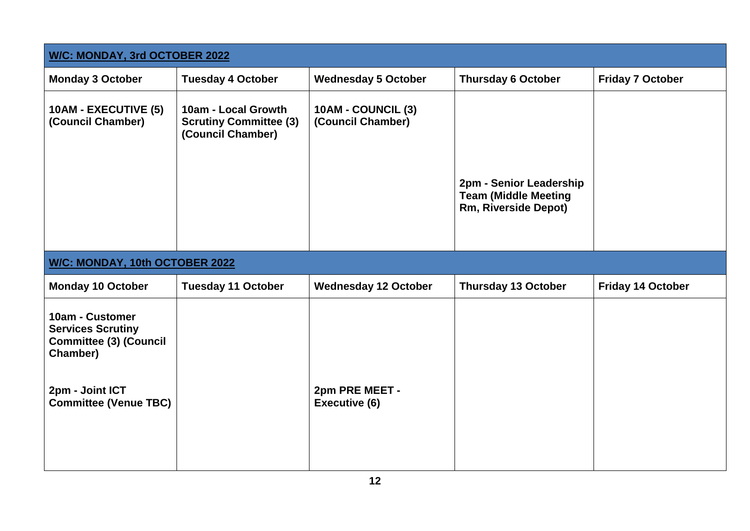| W/C: MONDAY, 3rd OCTOBER 2022                                                                                                               |                                                                           |                                         |                                                                                |                          |
|---------------------------------------------------------------------------------------------------------------------------------------------|---------------------------------------------------------------------------|-----------------------------------------|--------------------------------------------------------------------------------|--------------------------|
| <b>Monday 3 October</b>                                                                                                                     | <b>Tuesday 4 October</b>                                                  | <b>Wednesday 5 October</b>              | <b>Thursday 6 October</b>                                                      | <b>Friday 7 October</b>  |
| 10AM - EXECUTIVE (5)<br>(Council Chamber)                                                                                                   | 10am - Local Growth<br><b>Scrutiny Committee (3)</b><br>(Council Chamber) | 10AM - COUNCIL (3)<br>(Council Chamber) | 2pm - Senior Leadership<br><b>Team (Middle Meeting</b><br>Rm, Riverside Depot) |                          |
| W/C: MONDAY, 10th OCTOBER 2022                                                                                                              |                                                                           |                                         |                                                                                |                          |
| <b>Monday 10 October</b>                                                                                                                    | <b>Tuesday 11 October</b>                                                 | <b>Wednesday 12 October</b>             | <b>Thursday 13 October</b>                                                     | <b>Friday 14 October</b> |
| 10am - Customer<br><b>Services Scrutiny</b><br><b>Committee (3) (Council</b><br>Chamber)<br>2pm - Joint ICT<br><b>Committee (Venue TBC)</b> |                                                                           | 2pm PRE MEET -<br><b>Executive (6)</b>  |                                                                                |                          |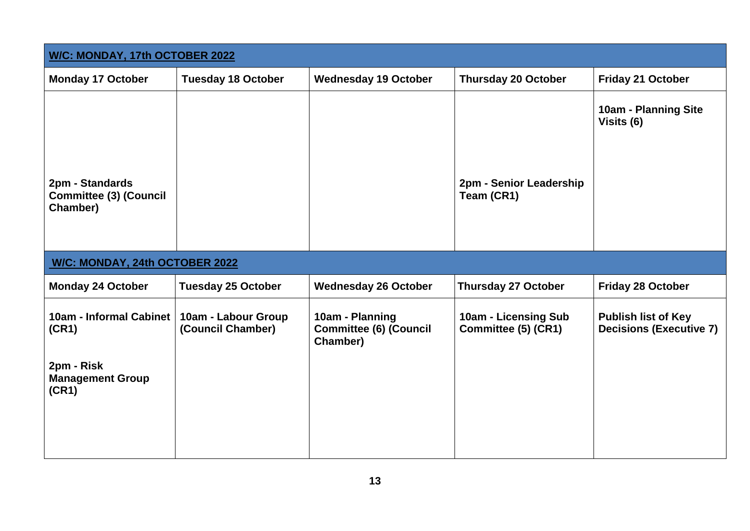| W/C: MONDAY, 17th OCTOBER 2022                               |                                          |                                                              |                                             |                                                              |
|--------------------------------------------------------------|------------------------------------------|--------------------------------------------------------------|---------------------------------------------|--------------------------------------------------------------|
| <b>Monday 17 October</b>                                     | <b>Tuesday 18 October</b>                | <b>Wednesday 19 October</b>                                  | <b>Thursday 20 October</b>                  | <b>Friday 21 October</b>                                     |
| 2pm - Standards<br><b>Committee (3) (Council</b><br>Chamber) |                                          |                                                              | 2pm - Senior Leadership<br>Team (CR1)       | <b>10am - Planning Site</b><br>Visits (6)                    |
| W/C: MONDAY, 24th OCTOBER 2022                               |                                          |                                                              |                                             |                                                              |
| <b>Monday 24 October</b>                                     | <b>Tuesday 25 October</b>                | <b>Wednesday 26 October</b>                                  | <b>Thursday 27 October</b>                  | <b>Friday 28 October</b>                                     |
| 10am - Informal Cabinet<br>(CR1)                             | 10am - Labour Group<br>(Council Chamber) | 10am - Planning<br><b>Committee (6) (Council</b><br>Chamber) | 10am - Licensing Sub<br>Committee (5) (CR1) | <b>Publish list of Key</b><br><b>Decisions (Executive 7)</b> |
| 2pm - Risk<br><b>Management Group</b><br>(CR1)               |                                          |                                                              |                                             |                                                              |
|                                                              |                                          |                                                              |                                             |                                                              |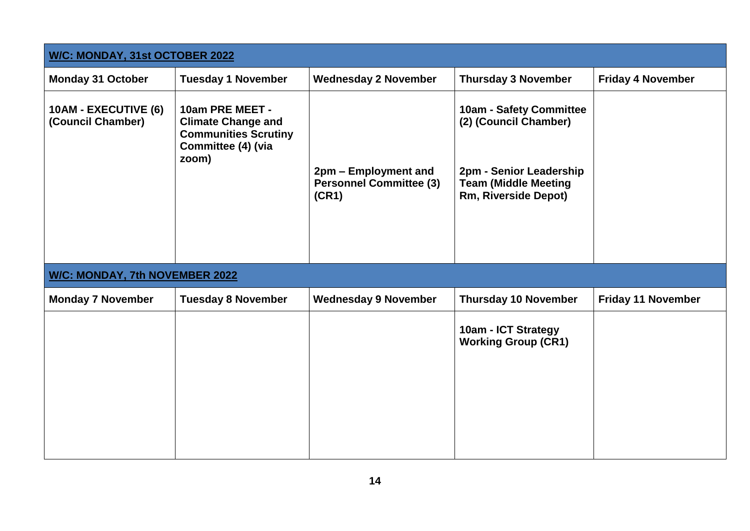| W/C: MONDAY, 31st OCTOBER 2022            |                                                                                                            |                                                                 |                                                                                                                                           |                           |  |
|-------------------------------------------|------------------------------------------------------------------------------------------------------------|-----------------------------------------------------------------|-------------------------------------------------------------------------------------------------------------------------------------------|---------------------------|--|
| <b>Monday 31 October</b>                  | <b>Tuesday 1 November</b>                                                                                  | <b>Wednesday 2 November</b>                                     | <b>Thursday 3 November</b>                                                                                                                | <b>Friday 4 November</b>  |  |
| 10AM - EXECUTIVE (6)<br>(Council Chamber) | 10am PRE MEET -<br><b>Climate Change and</b><br><b>Communities Scrutiny</b><br>Committee (4) (via<br>zoom) | 2pm - Employment and<br><b>Personnel Committee (3)</b><br>(CR1) | 10am - Safety Committee<br>(2) (Council Chamber)<br>2pm - Senior Leadership<br><b>Team (Middle Meeting</b><br><b>Rm, Riverside Depot)</b> |                           |  |
| <b>W/C: MONDAY, 7th NOVEMBER 2022</b>     |                                                                                                            |                                                                 |                                                                                                                                           |                           |  |
| <b>Monday 7 November</b>                  | <b>Tuesday 8 November</b>                                                                                  | <b>Wednesday 9 November</b>                                     | <b>Thursday 10 November</b>                                                                                                               | <b>Friday 11 November</b> |  |
|                                           |                                                                                                            |                                                                 | 10am - ICT Strategy<br><b>Working Group (CR1)</b>                                                                                         |                           |  |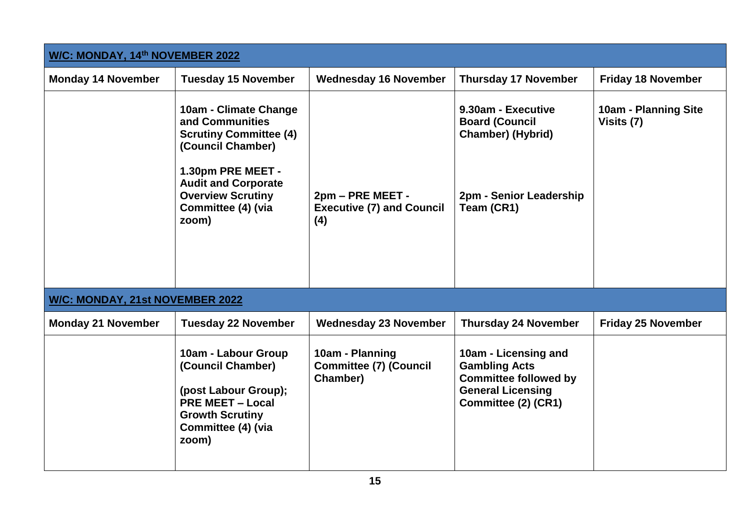| W/C: MONDAY, 14th NOVEMBER 2022        |                                                                                                                                                                                                              |                                                              |                                                                                                                                 |                                           |  |
|----------------------------------------|--------------------------------------------------------------------------------------------------------------------------------------------------------------------------------------------------------------|--------------------------------------------------------------|---------------------------------------------------------------------------------------------------------------------------------|-------------------------------------------|--|
| <b>Monday 14 November</b>              | <b>Tuesday 15 November</b>                                                                                                                                                                                   | <b>Wednesday 16 November</b>                                 | <b>Thursday 17 November</b>                                                                                                     | <b>Friday 18 November</b>                 |  |
|                                        | 10am - Climate Change<br>and Communities<br><b>Scrutiny Committee (4)</b><br>(Council Chamber)<br>1.30pm PRE MEET -<br><b>Audit and Corporate</b><br><b>Overview Scrutiny</b><br>Committee (4) (via<br>zoom) | 2pm - PRE MEET -<br><b>Executive (7) and Council</b><br>(4)  | 9.30am - Executive<br><b>Board (Council</b><br>Chamber) (Hybrid)<br>2pm - Senior Leadership<br>Team (CR1)                       | <b>10am - Planning Site</b><br>Visits (7) |  |
| <b>W/C: MONDAY, 21st NOVEMBER 2022</b> |                                                                                                                                                                                                              |                                                              |                                                                                                                                 |                                           |  |
| <b>Monday 21 November</b>              | <b>Tuesday 22 November</b>                                                                                                                                                                                   | <b>Wednesday 23 November</b>                                 | <b>Thursday 24 November</b>                                                                                                     | <b>Friday 25 November</b>                 |  |
|                                        | 10am - Labour Group<br>(Council Chamber)<br>(post Labour Group);<br><b>PRE MEET - Local</b><br><b>Growth Scrutiny</b><br>Committee (4) (via<br>zoom)                                                         | 10am - Planning<br><b>Committee (7) (Council</b><br>Chamber) | 10am - Licensing and<br><b>Gambling Acts</b><br><b>Committee followed by</b><br><b>General Licensing</b><br>Committee (2) (CR1) |                                           |  |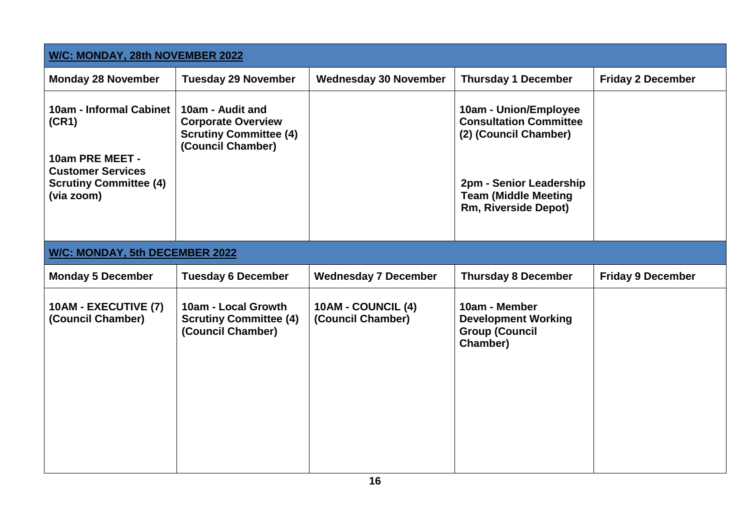| W/C: MONDAY, 28th NOVEMBER 2022                                                                                                |                                                                                                     |                                         |                                                                                                                                                                   |                          |
|--------------------------------------------------------------------------------------------------------------------------------|-----------------------------------------------------------------------------------------------------|-----------------------------------------|-------------------------------------------------------------------------------------------------------------------------------------------------------------------|--------------------------|
| <b>Monday 28 November</b>                                                                                                      | <b>Tuesday 29 November</b>                                                                          | <b>Wednesday 30 November</b>            | <b>Thursday 1 December</b>                                                                                                                                        | <b>Friday 2 December</b> |
| 10am - Informal Cabinet<br>(CR1)<br>10am PRE MEET -<br><b>Customer Services</b><br><b>Scrutiny Committee (4)</b><br>(via zoom) | 10am - Audit and<br><b>Corporate Overview</b><br><b>Scrutiny Committee (4)</b><br>(Council Chamber) |                                         | 10am - Union/Employee<br><b>Consultation Committee</b><br>(2) (Council Chamber)<br>2pm - Senior Leadership<br><b>Team (Middle Meeting</b><br>Rm, Riverside Depot) |                          |
| W/C: MONDAY, 5th DECEMBER 2022                                                                                                 |                                                                                                     |                                         |                                                                                                                                                                   |                          |
| <b>Monday 5 December</b>                                                                                                       | <b>Tuesday 6 December</b>                                                                           | <b>Wednesday 7 December</b>             | <b>Thursday 8 December</b>                                                                                                                                        | <b>Friday 9 December</b> |
| 10AM - EXECUTIVE (7)<br>(Council Chamber)                                                                                      | 10am - Local Growth<br><b>Scrutiny Committee (4)</b><br>(Council Chamber)                           | 10AM - COUNCIL (4)<br>(Council Chamber) | 10am - Member<br><b>Development Working</b><br><b>Group (Council</b><br>Chamber)                                                                                  |                          |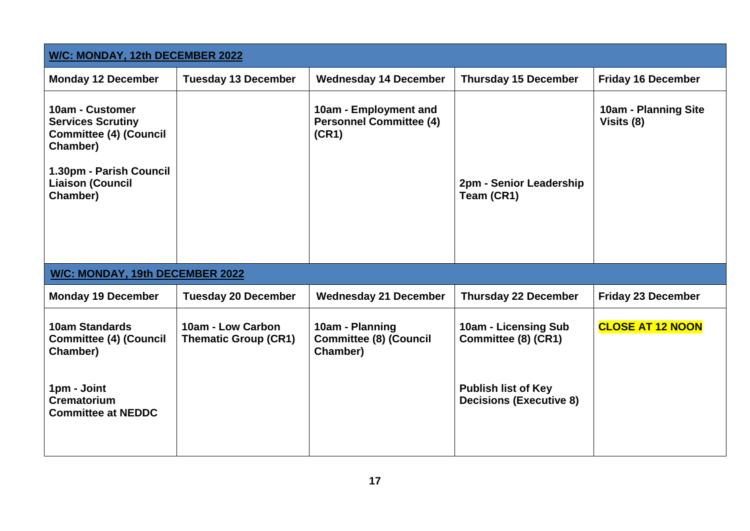| W/C: MONDAY, 12th DECEMBER 2022                                                                                                                            |                                                  |                                                                  |                                                              |                                           |  |
|------------------------------------------------------------------------------------------------------------------------------------------------------------|--------------------------------------------------|------------------------------------------------------------------|--------------------------------------------------------------|-------------------------------------------|--|
| <b>Monday 12 December</b>                                                                                                                                  | <b>Tuesday 13 December</b>                       | <b>Wednesday 14 December</b>                                     | <b>Thursday 15 December</b>                                  | <b>Friday 16 December</b>                 |  |
| 10am - Customer<br><b>Services Scrutiny</b><br><b>Committee (4) (Council</b><br>Chamber)<br>1.30pm - Parish Council<br><b>Liaison (Council</b><br>Chamber) |                                                  | 10am - Employment and<br><b>Personnel Committee (4)</b><br>(CR1) | 2pm - Senior Leadership<br>Team (CR1)                        | <b>10am - Planning Site</b><br>Visits (8) |  |
| W/C: MONDAY, 19th DECEMBER 2022                                                                                                                            |                                                  |                                                                  |                                                              |                                           |  |
| <b>Monday 19 December</b>                                                                                                                                  | <b>Tuesday 20 December</b>                       | <b>Wednesday 21 December</b>                                     | <b>Thursday 22 December</b>                                  | <b>Friday 23 December</b>                 |  |
| <b>10am Standards</b><br><b>Committee (4) (Council</b><br>Chamber)                                                                                         | 10am - Low Carbon<br><b>Thematic Group (CR1)</b> | 10am - Planning<br><b>Committee (8) (Council</b><br>Chamber)     | 10am - Licensing Sub<br>Committee (8) (CR1)                  | <b>CLOSE AT 12 NOON</b>                   |  |
| 1pm - Joint<br><b>Crematorium</b><br><b>Committee at NEDDC</b>                                                                                             |                                                  |                                                                  | <b>Publish list of Key</b><br><b>Decisions (Executive 8)</b> |                                           |  |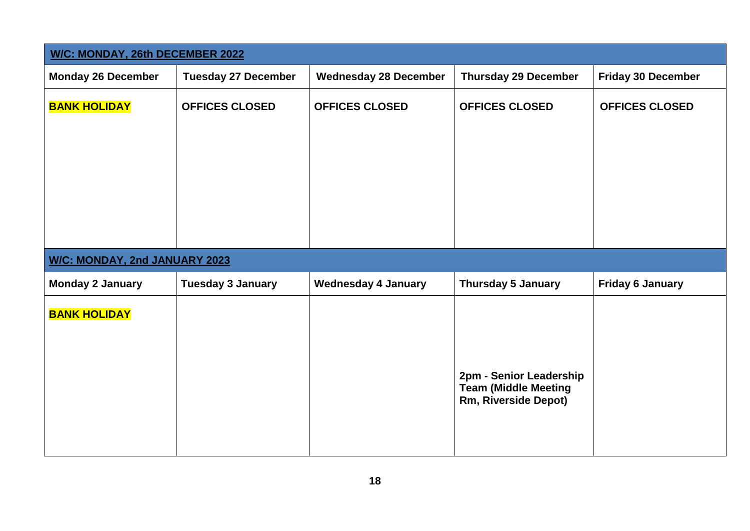| <b>W/C: MONDAY, 26th DECEMBER 2022</b> |                            |                              |                                                                                |                           |  |
|----------------------------------------|----------------------------|------------------------------|--------------------------------------------------------------------------------|---------------------------|--|
| <b>Monday 26 December</b>              | <b>Tuesday 27 December</b> | <b>Wednesday 28 December</b> | <b>Thursday 29 December</b>                                                    | <b>Friday 30 December</b> |  |
| <b>BANK HOLIDAY</b>                    | <b>OFFICES CLOSED</b>      | <b>OFFICES CLOSED</b>        | <b>OFFICES CLOSED</b>                                                          | <b>OFFICES CLOSED</b>     |  |
| <b>W/C: MONDAY, 2nd JANUARY 2023</b>   |                            |                              |                                                                                |                           |  |
| <b>Monday 2 January</b>                | <b>Tuesday 3 January</b>   | <b>Wednesday 4 January</b>   | <b>Thursday 5 January</b>                                                      | <b>Friday 6 January</b>   |  |
| <b>BANK HOLIDAY</b>                    |                            |                              | 2pm - Senior Leadership<br><b>Team (Middle Meeting</b><br>Rm, Riverside Depot) |                           |  |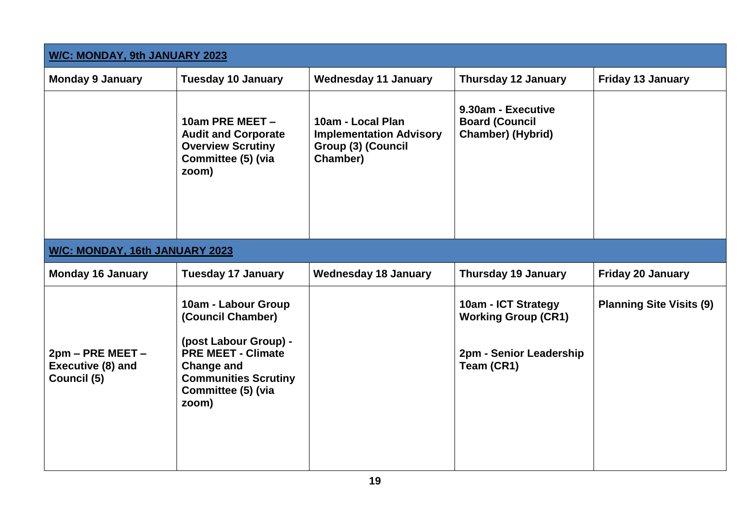| <b>W/C: MONDAY, 9th JANUARY 2023</b>                 |                                                                                                                                                                                   |                                                                                       |                                                                                            |                                 |  |
|------------------------------------------------------|-----------------------------------------------------------------------------------------------------------------------------------------------------------------------------------|---------------------------------------------------------------------------------------|--------------------------------------------------------------------------------------------|---------------------------------|--|
| <b>Monday 9 January</b>                              | <b>Tuesday 10 January</b>                                                                                                                                                         | <b>Wednesday 11 January</b>                                                           | <b>Thursday 12 January</b>                                                                 | <b>Friday 13 January</b>        |  |
|                                                      | 10am PRE MEET -<br><b>Audit and Corporate</b><br><b>Overview Scrutiny</b><br>Committee (5) (via<br>zoom)                                                                          | 10am - Local Plan<br><b>Implementation Advisory</b><br>Group (3) (Council<br>Chamber) | 9.30am - Executive<br><b>Board (Council</b><br><b>Chamber) (Hybrid)</b>                    |                                 |  |
| W/C: MONDAY, 16th JANUARY 2023                       |                                                                                                                                                                                   |                                                                                       |                                                                                            |                                 |  |
| <b>Monday 16 January</b>                             | <b>Tuesday 17 January</b>                                                                                                                                                         | <b>Wednesday 18 January</b>                                                           | <b>Thursday 19 January</b>                                                                 | <b>Friday 20 January</b>        |  |
| 2pm - PRE MEET -<br>Executive (8) and<br>Council (5) | 10am - Labour Group<br>(Council Chamber)<br>(post Labour Group) -<br><b>PRE MEET - Climate</b><br><b>Change and</b><br><b>Communities Scrutiny</b><br>Committee (5) (via<br>zoom) |                                                                                       | 10am - ICT Strategy<br><b>Working Group (CR1)</b><br>2pm - Senior Leadership<br>Team (CR1) | <b>Planning Site Visits (9)</b> |  |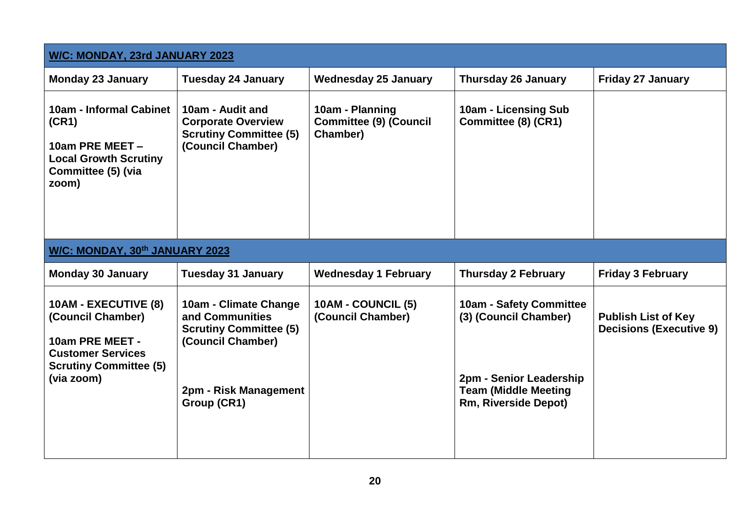| W/C: MONDAY, 23rd JANUARY 2023                                                                                                          |                                                                                                                                        |                                                              |                                                                                                                                           |                                                              |  |
|-----------------------------------------------------------------------------------------------------------------------------------------|----------------------------------------------------------------------------------------------------------------------------------------|--------------------------------------------------------------|-------------------------------------------------------------------------------------------------------------------------------------------|--------------------------------------------------------------|--|
| <b>Monday 23 January</b>                                                                                                                | <b>Tuesday 24 January</b>                                                                                                              | <b>Wednesday 25 January</b>                                  | <b>Thursday 26 January</b>                                                                                                                | <b>Friday 27 January</b>                                     |  |
| 10am - Informal Cabinet<br>(CR1)<br>10am PRE MEET -<br><b>Local Growth Scrutiny</b><br>Committee (5) (via<br>zoom)                      | 10am - Audit and<br><b>Corporate Overview</b><br><b>Scrutiny Committee (5)</b><br>(Council Chamber)                                    | 10am - Planning<br><b>Committee (9) (Council</b><br>Chamber) | 10am - Licensing Sub<br>Committee (8) (CR1)                                                                                               |                                                              |  |
| W/C: MONDAY, 30th JANUARY 2023                                                                                                          |                                                                                                                                        |                                                              |                                                                                                                                           |                                                              |  |
| <b>Monday 30 January</b>                                                                                                                | <b>Tuesday 31 January</b>                                                                                                              | <b>Wednesday 1 February</b>                                  | <b>Thursday 2 February</b>                                                                                                                | <b>Friday 3 February</b>                                     |  |
| 10AM - EXECUTIVE (8)<br>(Council Chamber)<br>10am PRE MEET -<br><b>Customer Services</b><br><b>Scrutiny Committee (5)</b><br>(via zoom) | 10am - Climate Change<br>and Communities<br><b>Scrutiny Committee (5)</b><br>(Council Chamber)<br>2pm - Risk Management<br>Group (CR1) | 10AM - COUNCIL (5)<br>(Council Chamber)                      | 10am - Safety Committee<br>(3) (Council Chamber)<br>2pm - Senior Leadership<br><b>Team (Middle Meeting</b><br><b>Rm, Riverside Depot)</b> | <b>Publish List of Key</b><br><b>Decisions (Executive 9)</b> |  |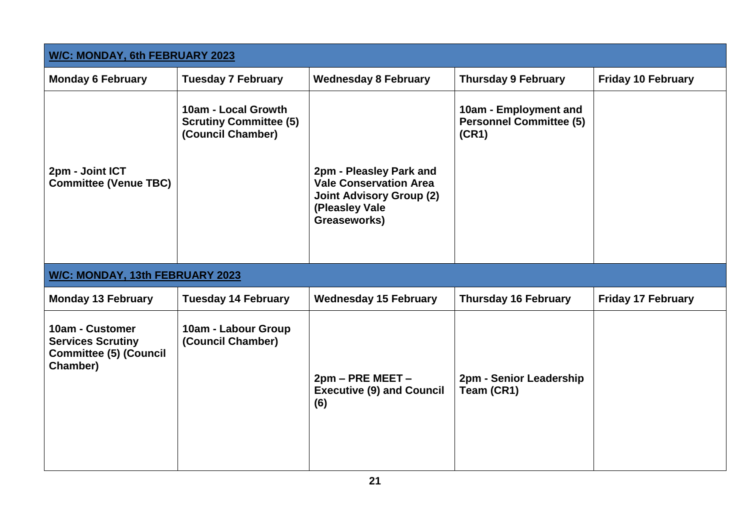| W/C: MONDAY, 6th FEBRUARY 2023                                                           |                                                                           |                                                                                                                               |                                                                  |                           |
|------------------------------------------------------------------------------------------|---------------------------------------------------------------------------|-------------------------------------------------------------------------------------------------------------------------------|------------------------------------------------------------------|---------------------------|
| <b>Monday 6 February</b>                                                                 | <b>Tuesday 7 February</b>                                                 | <b>Wednesday 8 February</b>                                                                                                   | <b>Thursday 9 February</b>                                       | <b>Friday 10 February</b> |
| 2pm - Joint ICT<br><b>Committee (Venue TBC)</b>                                          | 10am - Local Growth<br><b>Scrutiny Committee (5)</b><br>(Council Chamber) | 2pm - Pleasley Park and<br><b>Vale Conservation Area</b><br><b>Joint Advisory Group (2)</b><br>(Pleasley Vale<br>Greaseworks) | 10am - Employment and<br><b>Personnel Committee (5)</b><br>(CR1) |                           |
| W/C: MONDAY, 13th FEBRUARY 2023                                                          |                                                                           |                                                                                                                               |                                                                  |                           |
| <b>Monday 13 February</b>                                                                | <b>Tuesday 14 February</b>                                                | <b>Wednesday 15 February</b>                                                                                                  | <b>Thursday 16 February</b>                                      | <b>Friday 17 February</b> |
| 10am - Customer<br><b>Services Scrutiny</b><br><b>Committee (5) (Council</b><br>Chamber) | 10am - Labour Group<br>(Council Chamber)                                  | 2pm - PRE MEET -<br><b>Executive (9) and Council</b><br>(6)                                                                   | 2pm - Senior Leadership<br>Team (CR1)                            |                           |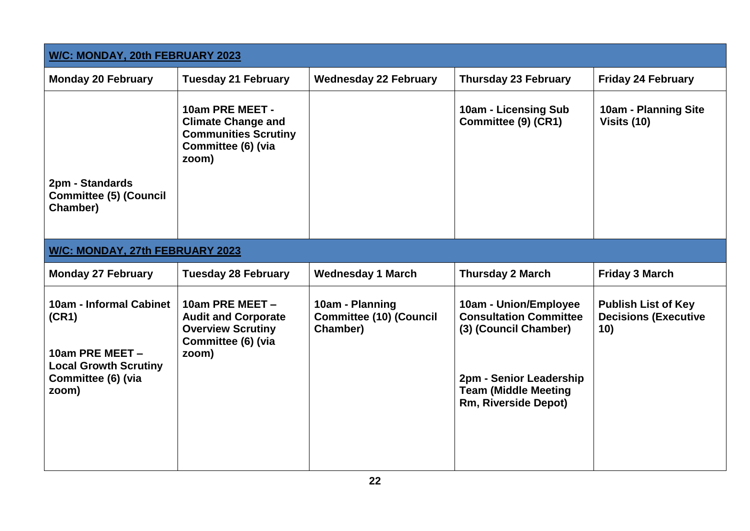| W/C: MONDAY, 20th FEBRUARY 2023                                                                                    |                                                                                                            |                                                               |                                                                                                                                                                          |                                                                  |  |
|--------------------------------------------------------------------------------------------------------------------|------------------------------------------------------------------------------------------------------------|---------------------------------------------------------------|--------------------------------------------------------------------------------------------------------------------------------------------------------------------------|------------------------------------------------------------------|--|
| <b>Monday 20 February</b>                                                                                          | <b>Tuesday 21 February</b>                                                                                 | <b>Wednesday 22 February</b>                                  | <b>Thursday 23 February</b>                                                                                                                                              | <b>Friday 24 February</b>                                        |  |
|                                                                                                                    | 10am PRE MEET -<br><b>Climate Change and</b><br><b>Communities Scrutiny</b><br>Committee (6) (via<br>zoom) |                                                               | 10am - Licensing Sub<br>Committee (9) (CR1)                                                                                                                              | <b>10am - Planning Site</b><br>Visits (10)                       |  |
| 2pm - Standards<br><b>Committee (5) (Council</b><br>Chamber)                                                       |                                                                                                            |                                                               |                                                                                                                                                                          |                                                                  |  |
| W/C: MONDAY, 27th FEBRUARY 2023                                                                                    |                                                                                                            |                                                               |                                                                                                                                                                          |                                                                  |  |
| <b>Monday 27 February</b>                                                                                          | <b>Tuesday 28 February</b>                                                                                 | <b>Wednesday 1 March</b>                                      | <b>Thursday 2 March</b>                                                                                                                                                  | <b>Friday 3 March</b>                                            |  |
| 10am - Informal Cabinet<br>(CR1)<br>10am PRE MEET -<br><b>Local Growth Scrutiny</b><br>Committee (6) (via<br>zoom) | 10am PRE MEET -<br><b>Audit and Corporate</b><br><b>Overview Scrutiny</b><br>Committee (6) (via<br>zoom)   | 10am - Planning<br><b>Committee (10) (Council</b><br>Chamber) | 10am - Union/Employee<br><b>Consultation Committee</b><br>(3) (Council Chamber)<br>2pm - Senior Leadership<br><b>Team (Middle Meeting</b><br><b>Rm, Riverside Depot)</b> | <b>Publish List of Key</b><br><b>Decisions (Executive</b><br>10) |  |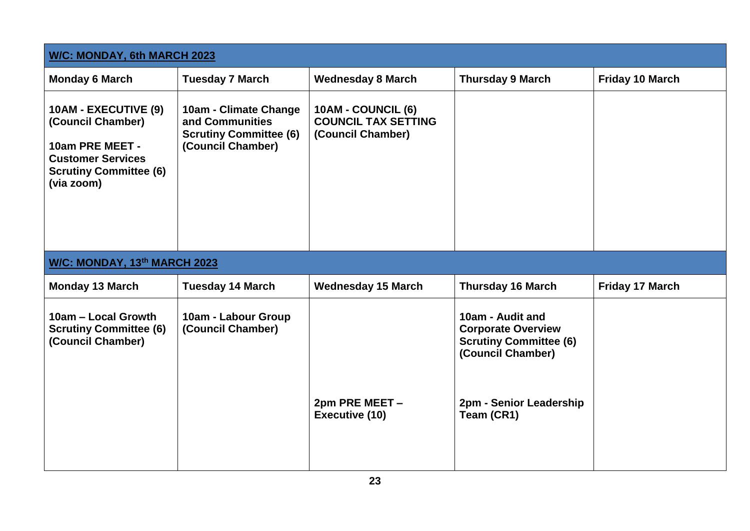| W/C: MONDAY, 6th MARCH 2023                                                                                                             |                                                                                                |                                                                       |                                                                                                                                              |                        |
|-----------------------------------------------------------------------------------------------------------------------------------------|------------------------------------------------------------------------------------------------|-----------------------------------------------------------------------|----------------------------------------------------------------------------------------------------------------------------------------------|------------------------|
| <b>Monday 6 March</b>                                                                                                                   | <b>Tuesday 7 March</b>                                                                         | <b>Wednesday 8 March</b>                                              | <b>Thursday 9 March</b>                                                                                                                      | <b>Friday 10 March</b> |
| 10AM - EXECUTIVE (9)<br>(Council Chamber)<br>10am PRE MEET -<br><b>Customer Services</b><br><b>Scrutiny Committee (6)</b><br>(via zoom) | 10am - Climate Change<br>and Communities<br><b>Scrutiny Committee (6)</b><br>(Council Chamber) | 10AM - COUNCIL (6)<br><b>COUNCIL TAX SETTING</b><br>(Council Chamber) |                                                                                                                                              |                        |
| W/C: MONDAY, 13th MARCH 2023                                                                                                            |                                                                                                |                                                                       |                                                                                                                                              |                        |
| <b>Monday 13 March</b>                                                                                                                  | <b>Tuesday 14 March</b>                                                                        | <b>Wednesday 15 March</b>                                             | <b>Thursday 16 March</b>                                                                                                                     | Friday 17 March        |
| 10am - Local Growth<br><b>Scrutiny Committee (6)</b><br>(Council Chamber)                                                               | 10am - Labour Group<br>(Council Chamber)                                                       | 2pm PRE MEET -<br><b>Executive (10)</b>                               | 10am - Audit and<br><b>Corporate Overview</b><br><b>Scrutiny Committee (6)</b><br>(Council Chamber)<br>2pm - Senior Leadership<br>Team (CR1) |                        |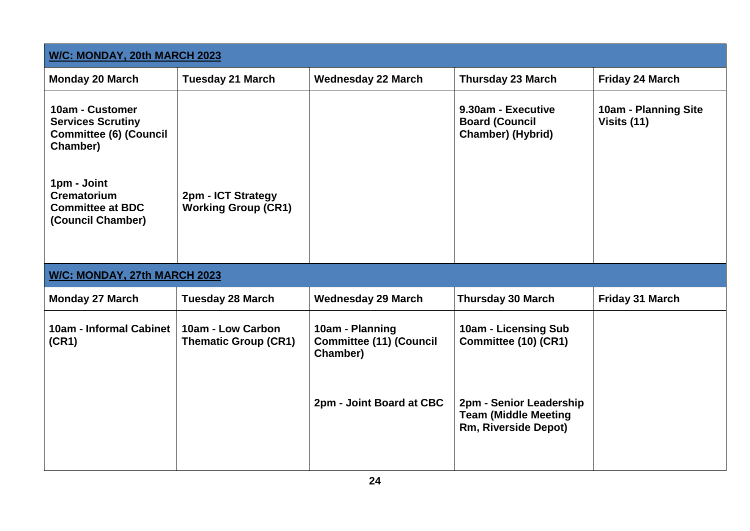| W/C: MONDAY, 20th MARCH 2023                                                             |                                                  |                                                               |                                                                                |                                     |
|------------------------------------------------------------------------------------------|--------------------------------------------------|---------------------------------------------------------------|--------------------------------------------------------------------------------|-------------------------------------|
| <b>Monday 20 March</b>                                                                   | <b>Tuesday 21 March</b>                          | <b>Wednesday 22 March</b>                                     | <b>Thursday 23 March</b>                                                       | Friday 24 March                     |
| 10am - Customer<br><b>Services Scrutiny</b><br><b>Committee (6) (Council</b><br>Chamber) |                                                  |                                                               | 9.30am - Executive<br><b>Board (Council</b><br><b>Chamber) (Hybrid)</b>        | 10am - Planning Site<br>Visits (11) |
| 1pm - Joint<br><b>Crematorium</b><br><b>Committee at BDC</b><br>(Council Chamber)        | 2pm - ICT Strategy<br><b>Working Group (CR1)</b> |                                                               |                                                                                |                                     |
| W/C: MONDAY, 27th MARCH 2023                                                             |                                                  |                                                               |                                                                                |                                     |
| <b>Monday 27 March</b>                                                                   | <b>Tuesday 28 March</b>                          | <b>Wednesday 29 March</b>                                     | <b>Thursday 30 March</b>                                                       | <b>Friday 31 March</b>              |
| 10am - Informal Cabinet<br>(CR1)                                                         | 10am - Low Carbon<br><b>Thematic Group (CR1)</b> | 10am - Planning<br><b>Committee (11) (Council</b><br>Chamber) | 10am - Licensing Sub<br>Committee (10) (CR1)                                   |                                     |
|                                                                                          |                                                  | 2pm - Joint Board at CBC                                      | 2pm - Senior Leadership<br><b>Team (Middle Meeting</b><br>Rm, Riverside Depot) |                                     |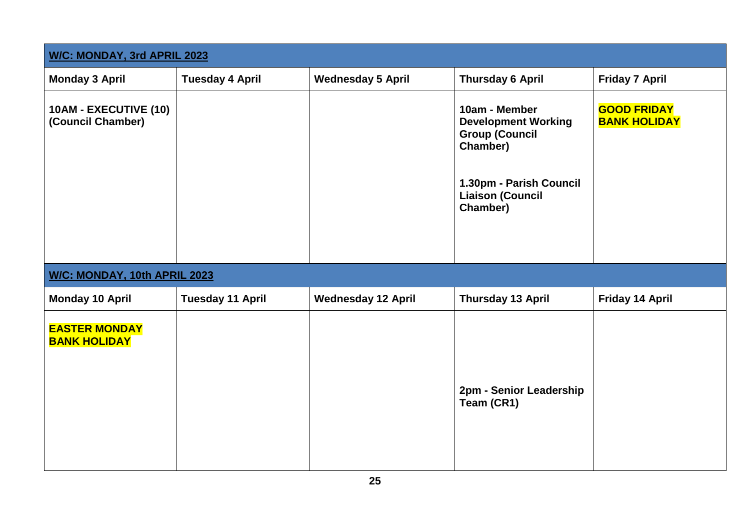| <b>W/C: MONDAY, 3rd APRIL 2023</b>          |                         |                           |                                                                                                                                                    |                                           |  |
|---------------------------------------------|-------------------------|---------------------------|----------------------------------------------------------------------------------------------------------------------------------------------------|-------------------------------------------|--|
| <b>Monday 3 April</b>                       | <b>Tuesday 4 April</b>  | <b>Wednesday 5 April</b>  | <b>Thursday 6 April</b>                                                                                                                            | <b>Friday 7 April</b>                     |  |
| 10AM - EXECUTIVE (10)<br>(Council Chamber)  |                         |                           | 10am - Member<br><b>Development Working</b><br><b>Group (Council</b><br>Chamber)<br>1.30pm - Parish Council<br><b>Liaison (Council</b><br>Chamber) | <b>GOOD FRIDAY</b><br><b>BANK HOLIDAY</b> |  |
| W/C: MONDAY, 10th APRIL 2023                |                         |                           |                                                                                                                                                    |                                           |  |
| <b>Monday 10 April</b>                      | <b>Tuesday 11 April</b> | <b>Wednesday 12 April</b> | <b>Thursday 13 April</b>                                                                                                                           | Friday 14 April                           |  |
| <b>EASTER MONDAY</b><br><b>BANK HOLIDAY</b> |                         |                           | 2pm - Senior Leadership<br>Team (CR1)                                                                                                              |                                           |  |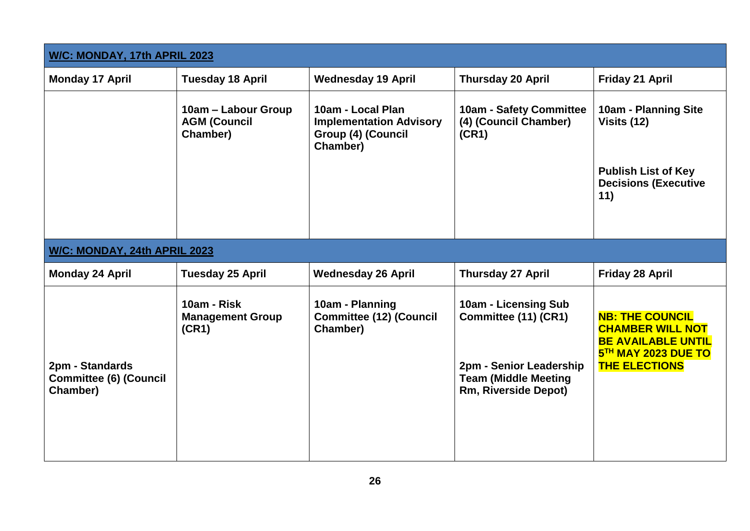| W/C: MONDAY, 17th APRIL 2023                                 |                                                        |                                                                                       |                                                                                                                                       |                                                                                                                               |  |
|--------------------------------------------------------------|--------------------------------------------------------|---------------------------------------------------------------------------------------|---------------------------------------------------------------------------------------------------------------------------------------|-------------------------------------------------------------------------------------------------------------------------------|--|
| <b>Monday 17 April</b>                                       | <b>Tuesday 18 April</b>                                | <b>Wednesday 19 April</b>                                                             | <b>Thursday 20 April</b>                                                                                                              | Friday 21 April                                                                                                               |  |
|                                                              | 10am – Labour Group<br><b>AGM (Council</b><br>Chamber) | 10am - Local Plan<br><b>Implementation Advisory</b><br>Group (4) (Council<br>Chamber) | 10am - Safety Committee<br>(4) (Council Chamber)<br>(CR1)                                                                             | 10am - Planning Site<br>Visits (12)<br><b>Publish List of Key</b><br><b>Decisions (Executive</b><br>11)                       |  |
| W/C: MONDAY, 24th APRIL 2023                                 |                                                        |                                                                                       |                                                                                                                                       |                                                                                                                               |  |
| <b>Monday 24 April</b>                                       | <b>Tuesday 25 April</b>                                | <b>Wednesday 26 April</b>                                                             | <b>Thursday 27 April</b>                                                                                                              | Friday 28 April                                                                                                               |  |
| 2pm - Standards<br><b>Committee (6) (Council</b><br>Chamber) | 10am - Risk<br><b>Management Group</b><br>(CR1)        | 10am - Planning<br><b>Committee (12) (Council</b><br>Chamber)                         | 10am - Licensing Sub<br>Committee (11) (CR1)<br>2pm - Senior Leadership<br><b>Team (Middle Meeting</b><br><b>Rm, Riverside Depot)</b> | <b>NB: THE COUNCIL</b><br><b>CHAMBER WILL NOT</b><br><b>BE AVAILABLE UNTIL</b><br>5TH MAY 2023 DUE TO<br><b>THE ELECTIONS</b> |  |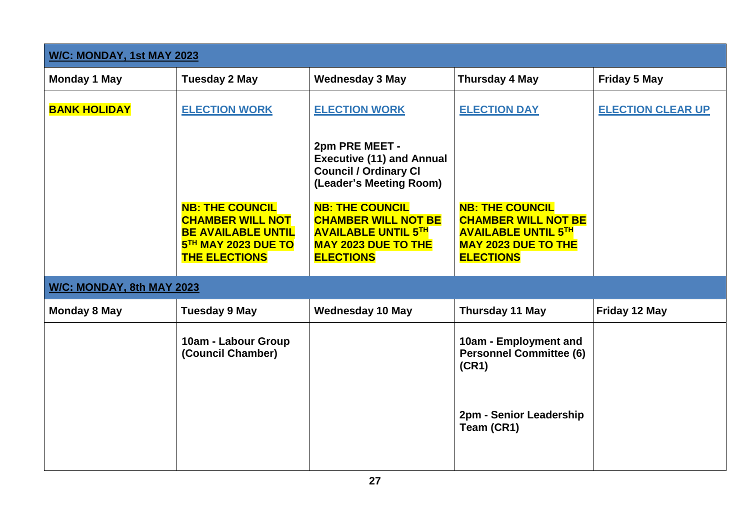| <b>W/C: MONDAY, 1st MAY 2023</b> |                                                                                                                               |                                                                                                                                                                                                                                                       |                                                                                                                                      |                          |  |
|----------------------------------|-------------------------------------------------------------------------------------------------------------------------------|-------------------------------------------------------------------------------------------------------------------------------------------------------------------------------------------------------------------------------------------------------|--------------------------------------------------------------------------------------------------------------------------------------|--------------------------|--|
| <b>Monday 1 May</b>              | <b>Tuesday 2 May</b>                                                                                                          | <b>Wednesday 3 May</b>                                                                                                                                                                                                                                | <b>Thursday 4 May</b>                                                                                                                | <b>Friday 5 May</b>      |  |
| <b>BANK HOLIDAY</b>              | <b>ELECTION WORK</b>                                                                                                          | <b>ELECTION WORK</b>                                                                                                                                                                                                                                  | <b>ELECTION DAY</b>                                                                                                                  | <b>ELECTION CLEAR UP</b> |  |
|                                  | <b>NB: THE COUNCIL</b><br><b>CHAMBER WILL NOT</b><br><b>BE AVAILABLE UNTIL</b><br>5TH MAY 2023 DUE TO<br><b>THE ELECTIONS</b> | 2pm PRE MEET -<br><b>Executive (11) and Annual</b><br><b>Council / Ordinary CI</b><br>(Leader's Meeting Room)<br><b>NB: THE COUNCIL</b><br><b>CHAMBER WILL NOT BE</b><br><b>AVAILABLE UNTIL 5TH</b><br><b>MAY 2023 DUE TO THE</b><br><b>ELECTIONS</b> | <b>NB: THE COUNCIL</b><br><b>CHAMBER WILL NOT BE</b><br><b>AVAILABLE UNTIL 5TH</b><br><b>MAY 2023 DUE TO THE</b><br><b>ELECTIONS</b> |                          |  |
| W/C: MONDAY, 8th MAY 2023        |                                                                                                                               |                                                                                                                                                                                                                                                       |                                                                                                                                      |                          |  |
| <b>Monday 8 May</b>              | <b>Tuesday 9 May</b>                                                                                                          | <b>Wednesday 10 May</b>                                                                                                                                                                                                                               | <b>Thursday 11 May</b>                                                                                                               | Friday 12 May            |  |
|                                  | 10am - Labour Group<br>(Council Chamber)                                                                                      |                                                                                                                                                                                                                                                       | 10am - Employment and<br><b>Personnel Committee (6)</b><br>(CR1)                                                                     |                          |  |
|                                  |                                                                                                                               |                                                                                                                                                                                                                                                       | 2pm - Senior Leadership<br>Team (CR1)                                                                                                |                          |  |